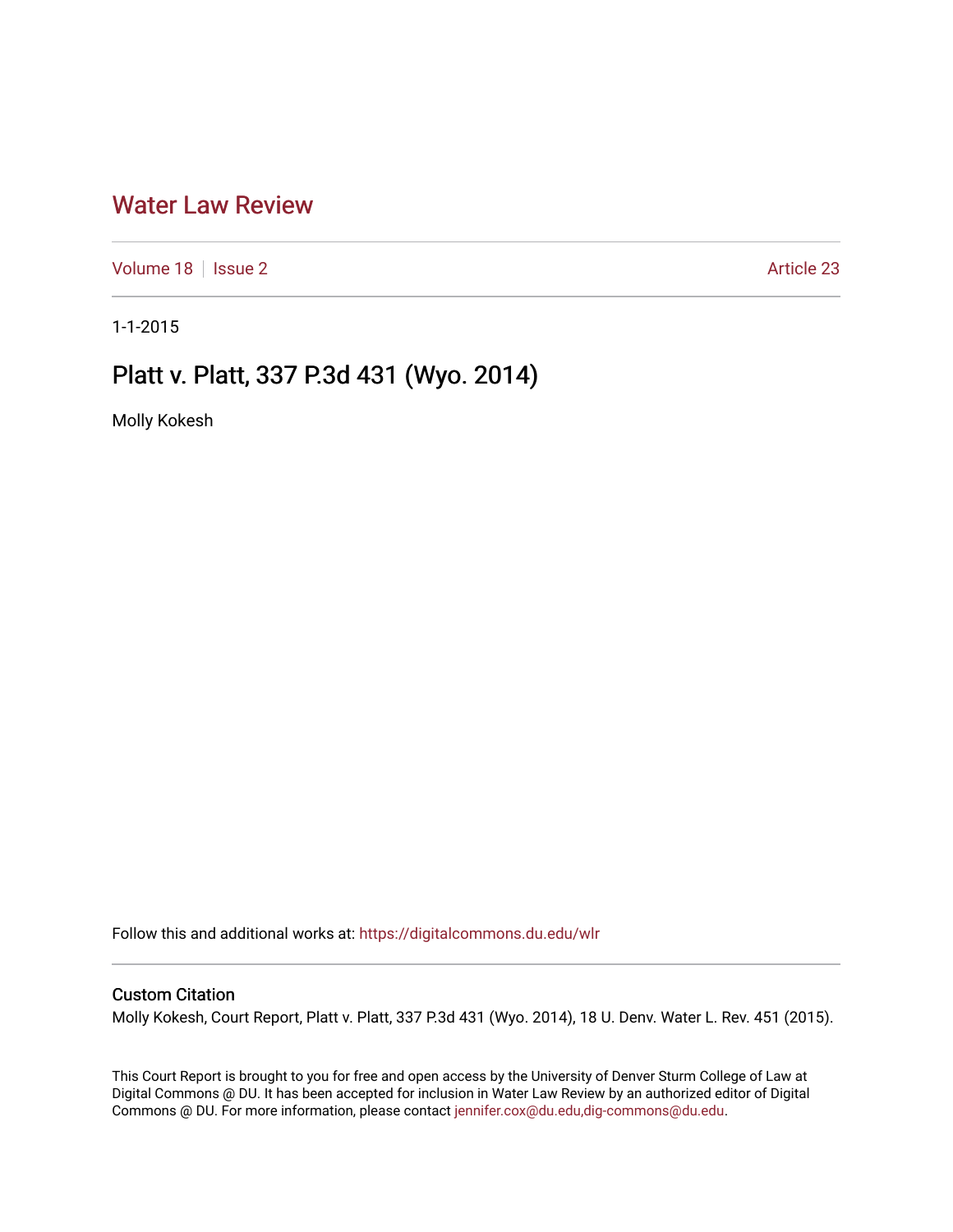## [Water Law Review](https://digitalcommons.du.edu/wlr)

[Volume 18](https://digitalcommons.du.edu/wlr/vol18) | [Issue 2](https://digitalcommons.du.edu/wlr/vol18/iss2) Article 23

1-1-2015

# Platt v. Platt, 337 P.3d 431 (Wyo. 2014)

Molly Kokesh

Follow this and additional works at: [https://digitalcommons.du.edu/wlr](https://digitalcommons.du.edu/wlr?utm_source=digitalcommons.du.edu%2Fwlr%2Fvol18%2Fiss2%2F23&utm_medium=PDF&utm_campaign=PDFCoverPages) 

### Custom Citation

Molly Kokesh, Court Report, Platt v. Platt, 337 P.3d 431 (Wyo. 2014), 18 U. Denv. Water L. Rev. 451 (2015).

This Court Report is brought to you for free and open access by the University of Denver Sturm College of Law at Digital Commons @ DU. It has been accepted for inclusion in Water Law Review by an authorized editor of Digital Commons @ DU. For more information, please contact [jennifer.cox@du.edu,dig-commons@du.edu.](mailto:jennifer.cox@du.edu,dig-commons@du.edu)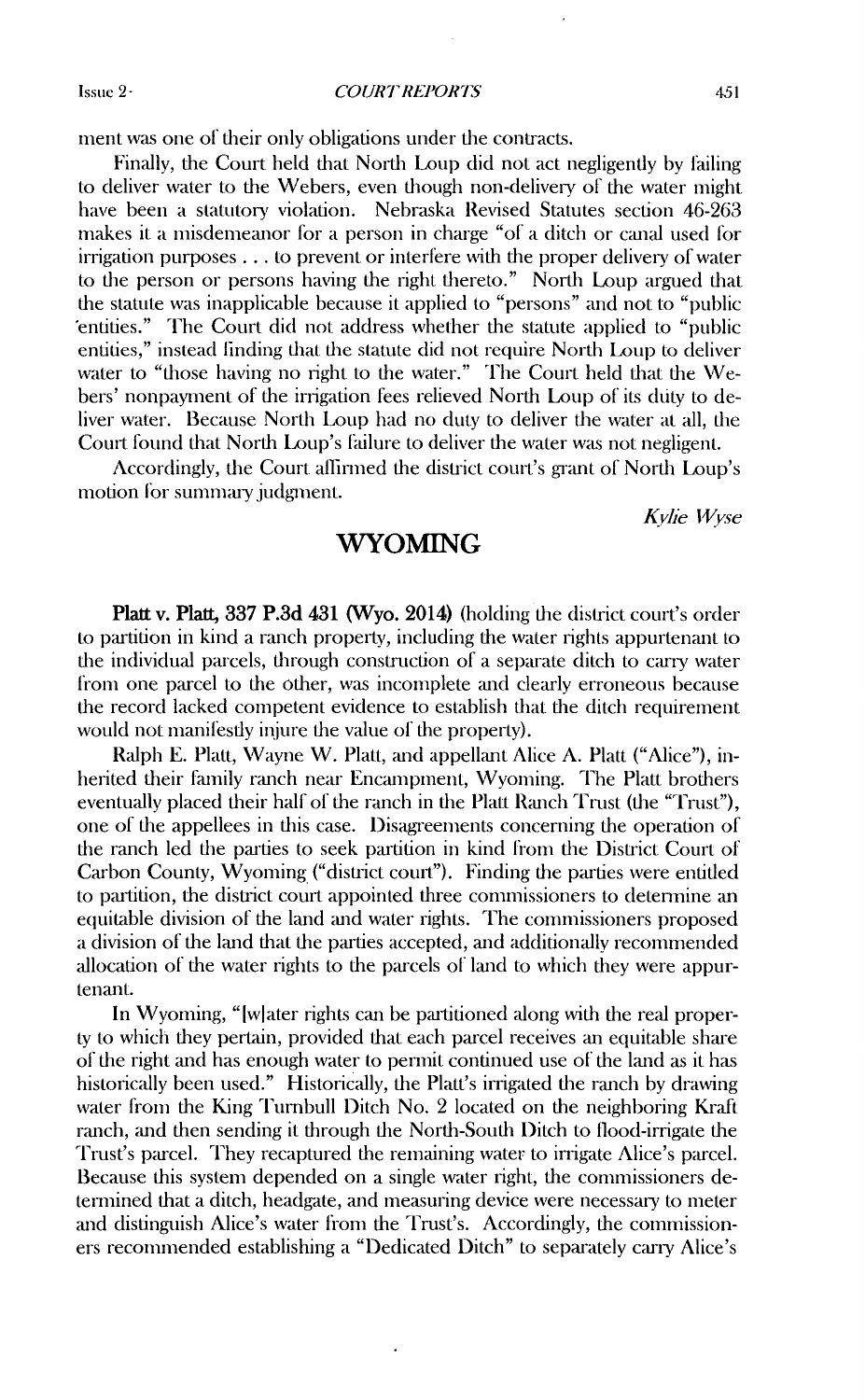Issue 2-

*COURT REIORTS*

ment was one of their only obligations under the contracts.

Finally, the Court held that North Loup did not act negligently by failing to deliver water to the Webers, even though non-delivery of the water might have been a statutory violation. Nebraska Revised Statutes section 46-263 makes it a misdemeanor for a person in charge "of a ditch or canal used for  $irrigation purposes \ldots$  to prevent or interfere with the proper delivery of water to the person or persons having the right thereto." North Loup argued that the statute was inapplicable because it applied to "persons" and not to "public 'entities." The Court did not address whether the statute applied to "public entities," instead linding that the statute did not require North Loup to deliver water to "those having no right to the water." The Court held that the Webers' nonpayment of the irrigation fees relieved North Loup of its duty to deliver water. Because North Loup had no duty to deliver the water at all, the Court found that North Loup's failure to deliver the water was not negligent.

Accordingly, the Court alfinned **die** district court's grant of North Loup's motion for summary judgment.

Kylie *lVvse*

#### **WYOMING**

Platt v. Platt, 337 P.3d 431 (Wyo. 2014) (holding the district court's order to partition in kind a ranch property, including the water rights appurtenant to the individual parcels, through construction of a separate ditch to carry water from one parcel to the other, was incomplete and clearly erroneous because the record lacked competent evidence to establish that the ditch requirement would not manifestly injure the value of the property).

Ralph E. Platt, Wayne W. Platt, and appellant Alice A. Platt ("Alice"), inherited their family ranch near Encampment, Wyoming. The Platt brothers eventually placed their half of the ranch in the Platt Ranch Trust (the "Trust"), one of the appellees in this case. Disagreenents concerning the operation of the ranch led the parties to seek partition in kind from the District Court of Carbon County, Wyoming ("district court"). Finding the parties were entitled to partition, the district court appointed three commissioners to detennine an equitable division of the land and water rights. The commissioners proposed a division of the land that the parties accepted, and additionally recommended allocation of the water rights to the parcels of land to which they were appurtenant.

In Wyoming, "[wlater rights can be partitioned along with the real property to which they pertain, provided that each parcel receives an equitable share of the right and has enough water to permit continued use of the land as it has historically been used." Historically, the Platt's irrigated the ranch by drawing water from the King Tumbull Ditch No. 2 located on the neighboring Kraft ranch, and then sending it through the North-South Ditch to flood-irrigate the Trust's parcel. They recaptured the remaining water to irrigate Alice's parcel. Because this system depended on a single water right, the commissioners determined that a ditch, headgate, and measuring device were necessary to meter and distinguish Alice's water from the Trust's. Accordingly, the commissioners reconnended establishing a "Dedicated Ditch" to separately carry Alice's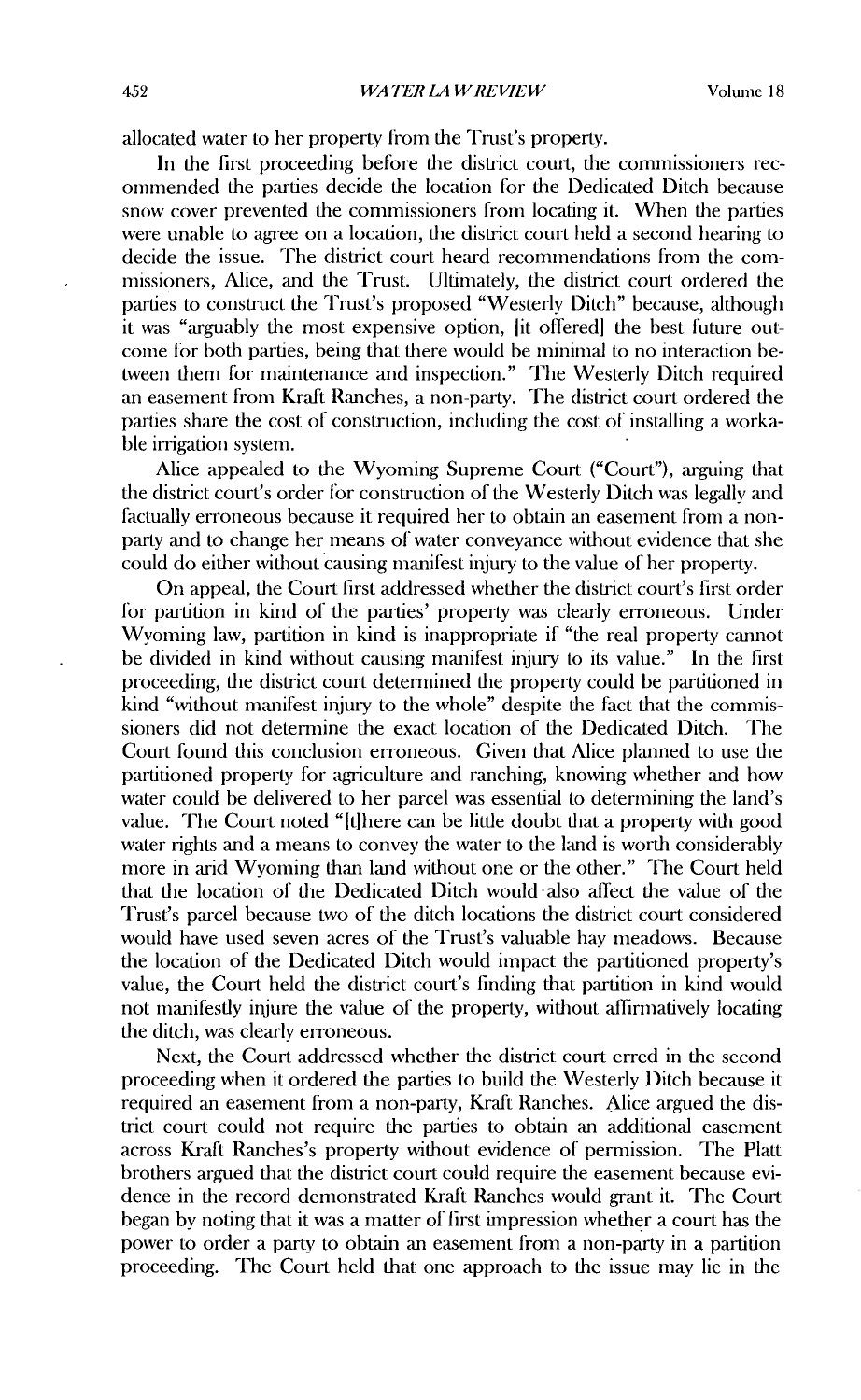allocated water to her property from the Trust's property.

In the first proceeding before the district court, the commissioners recommended the parties decide the location for the Dedicated Ditch because snow cover prevented the commissioners from locating it. When the parties were unable to agree on a location, the district court held a second hearing to decide the issue. The district court heard recommendations from the commissioners, Alice, and the Trust. Ultimately, the district court ordered the parties to construct the Trust's proposed "Westerly Ditch" because, although it was "arguably the most expensive option, [it offered] the best future outcome for both parties, being that there would be mininal to no interaction **be**tween them for maintenance and inspection." The Westerly Ditch required an easement from Kraft Ranches, a non-party. The district court ordered the parties share the cost of construction, including the cost of installing a workable irrigation system.

Alice appealed to the Wyoming Supreme Court ("Court"), arguing that the district court's order for construction of the Westerly Ditch was legally and factually erroneous because it required her to obtain an easement from a nonparty and to change her means of water conveyance without evidence that she could do either without causing manifest injury to the value of her property.

On appeal, the Court first addressed whether the district court's first order for partition in kind of the parties' property was clearly erroneous. Under Wyoming law, partition in kind is inappropriate if "the real property cannot be divided in kind without causing manifest injury to its value." In the first proceeding, the district court determined the property could be partitioned **in** kind "without manifest injury to the whole" despite the fact that the commissioners did not determine the exact location of the Dedicated Ditch. The Court found this conclusion erroneous. Given that Alice planned to use the partitioned property for agriculture and ranching, knowing whether and how water could be delivered to her parcel was essential to determining the land's value. The Court noted "Ithere can be little doubt that a property with good water rights and a means to convey the water to the land is worth considerably more in arid Wyoming than land without one or the other." The Court held that the location of the Dedicated Ditch would also affect the value of the Trust's parcel because two of the ditch locations the district court considered would have used seven acres of the Trust's valuable hay meadows. Because the location of the Dedicated Ditch would impact the partitioned property's value, the Court held the district court's finding that partition in kind would not manifestly injure the value of the property, without affirmatively locating the ditch, was clearly erroneous.

Next, the Court addressed whether the district court erred in the second proceeding when it ordered the parties to build the Westerly Ditch because it required an easement from a non-party, Kraft Ranches. Alice argued the district court could not require the parties to obtain an additional easement across Kraft Ranches's property without evidence of permission. The Platt brothers argued that the district court could require the easement because evidence in the record demonstrated Kraft Ranches would grant it. The Court began by noting that it was a matter of first impression whether a court has the power to order a party to obtain an easement from a non-party in a partition proceeding. The Court held that one approach to the issue may lie in the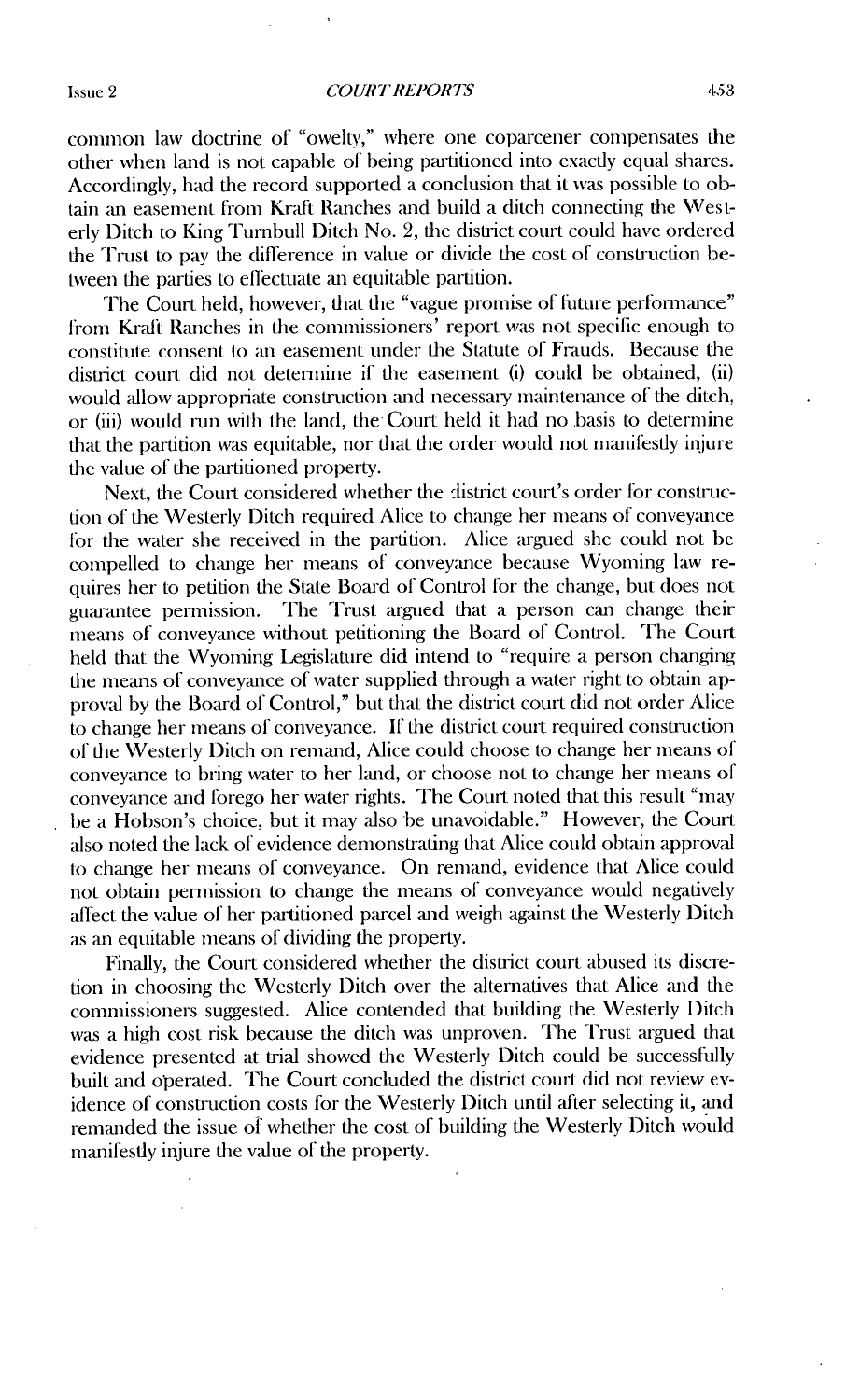common law doctrine of "owelty," where one coparcener compensates the other when land is not capable of being partitioned into exactly equal shares. Accordingly, had the record supported a conclusion that it was possible to obtain an easement from Kraft Ranches and build a ditch connecting the Westerly Ditch to King Turnbull Ditch No. 2, the district court could have ordered the Trust to pay the difference in value or divide the cost of construction between the parties to effectuate an equitable partition.

The Court held, however, that the "vague promise of future performance" from Kraft Ranches in the commissioners' report was not specific enough to constitute consent to an easement under the Statute of Frauds. Because the district court did not detennine if the easement (i) could be obtained, (ii) would allow appropriate construction and necessary maintenance of the ditch, or (iii) would run with the land, the Court held it had no basis to determine that the partition was equitable, nor that the order would not manifestly injure the value of the partitioned property.

Next, the Court considered whether the district court's order for construction of the Westerly Ditch required Alice to change her means of conveyance for the water she received in the partition. Alice argued she could not be compelled to change her means of conveyance because Wyoming law requires her to petition the State Board of Control for the change, but does not guarantee permission. The Trust argued that a person can change their The Trust argued that a person can change their means of conveyance without petitioning the Board of Control. The Court held that the Wyoming Legislature did intend to "require a person changing the means of conveyance of water supplied through a water right to obtain approval by the Board of Control," but that the district court did not order Alice to change her means of conveyance. If the district court required construction of the Westerly I)itch on remand, Alice could choose to change her means of conveyance to bring water to her land, or choose not to change her means of conveyance and forego her water rights. The Court noted that this result "may be a Hobson's choice, but it may also be unavoidable." However, the Court also noted the lack of evidence demonstrating that Alice could obtain approval to change her means of conveyance. On remand, evidence that Alice could not obtain permission to change the means of conveyance would negatively affect the value of her partitioned parcel and weigh against the Westerly Ditch as an equitable means of dividing the property.

Finally, the Court considered whether the district court abused its discretion in choosing the Westerly Ditch over the alternatives that Alice and the commissioners suggested. Alice contended that building the Westerly Ditch was a high cost risk because the ditch was unproven. The Trust argued that evidence presented at trial showed the Westerly Ditch could be successfully built and operated. The Court concluded the district court did not review evidence of construction costs for the Westerly Ditch until after selecting it, and remanded the issue of whether the cost of building the Westerly Ditch would manifestly injure the value of the property.